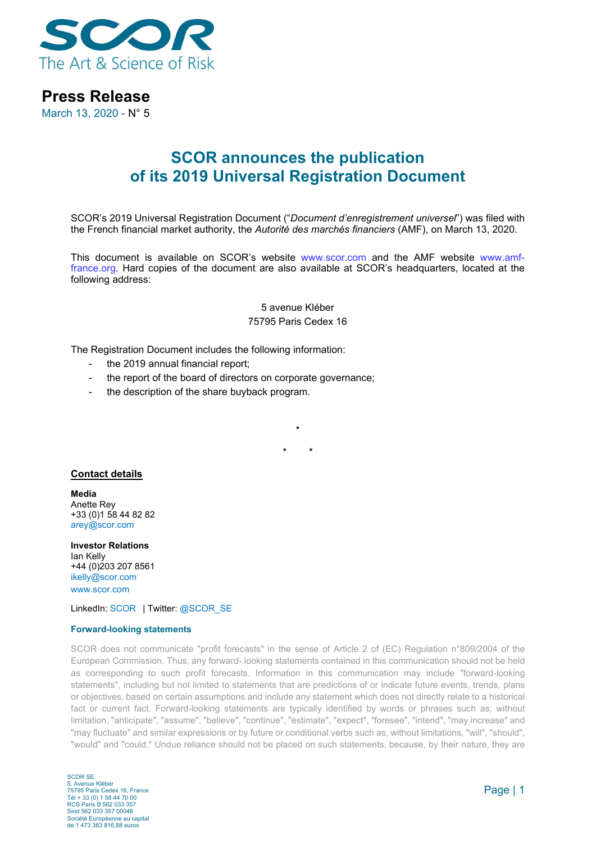

## **Press Release**

March 13, 2020 - N° 5

# **SCOR announces the publication of its 2019 Universal Registration Document**

SCOR's 2019 Universal Registration Document ("*Document d'enregistrement universel*") was filed with the French financial market authority, the *Autorité des marchés financiers* (AMF), on March 13, 2020.

This document is available on SCOR's website [www.scor.com](http://www.scor.com/) and the AMF website [www.amf](file://frncifs01/Svc_Regrserv/Affaires_Publiques/Communiqu%C3%A9s/Communiqu%C3%A9s%202019/xx%20-%20DDR/www.amf-france.org)[france.org.](file://frncifs01/Svc_Regrserv/Affaires_Publiques/Communiqu%C3%A9s/Communiqu%C3%A9s%202019/xx%20-%20DDR/www.amf-france.org) Hard copies of the document are also available at SCOR's headquarters, located at the following address:

### 5 avenue Kléber 75795 Paris Cedex 16

**\***

**\* \***

The Registration Document includes the following information:

- the 2019 annual financial report;
- the report of the board of directors on corporate governance;
- the description of the share buyback program.

#### **Contact details**

**Media** Anette Rey +33 (0)1 58 44 82 82 [arey@scor.com](mailto:arey@scor.com)

**Investor Relations** Ian Kelly +44 (0)203 207 8561 [ikelly@scor.com](mailto:ikelly@scor.com) [www.scor.com](http://www.scor.com/en/)

LinkedIn: [SCOR](https://www.linkedin.com/company/11543) | Twitter[: @SCOR\\_SE](https://twitter.com/SCOR_SE)

#### **Forward-looking statements**

SCOR does not communicate "profit forecasts" in the sense of Article 2 of (EC) Regulation n°809/2004 of the European Commission. Thus, any forward-.looking statements contained in this communication should not be held as corresponding to such profit forecasts. Information in this communication may include "forward-looking statements", including but not limited to statements that are predictions of or indicate future events, trends, plans or objectives, based on certain assumptions and include any statement which does not directly relate to a historical fact or current fact. Forward-looking statements are typically identified by words or phrases such as, without limitation, "anticipate", "assume", "believe", "continue", "estimate", "expect", "foresee", "intend", "may increase" and "may fluctuate" and similar expressions or by future or conditional verbs such as, without limitations, "will", "should", "would" and "could." Undue reliance should not be placed on such statements, because, by their nature, they are

SCOR SE 5, Avenue Kléber 75795 Paris Cedex 16, France Tél + 33 (0) 1 58 44 70 00 RCS Paris B 562 033 357 Siret 562 033 357 00046 Société Européenne au capital de 1 473 383 816,88 euros